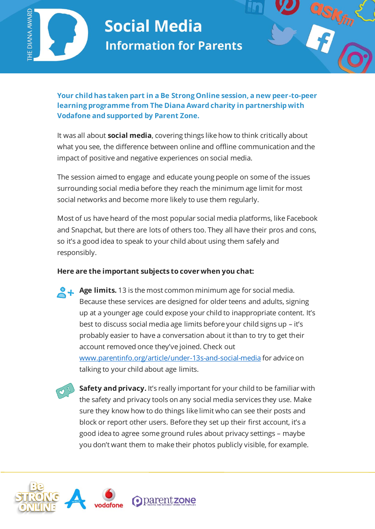

# **Social Media Information for Parents**



**Your child has taken part in a Be Strong Online session, a new peer-to-peer learning programme from The Diana Award charity in partnership with Vodafone and supported by Parent Zone.** 

It was all about **social media**, covering things like how to think critically about what you see, the difference between online and offline communication and the impact of positive and negative experiences on social media.

The session aimed to engage and educate young people on some of the issues surrounding social media before they reach the minimum age limit for most social networks and become more likely to use them regularly.

Most of us have heard of the most popular social media platforms, like Facebook and Snapchat, but there are lots of others too. They all have their pros and cons, so it's a good idea to speak to your child about using them safely and responsibly.

## **Here are the important subjects to cover when you chat:**

**Age limits.** 13 is the most common minimum age for social media. Because these services are designed for older teens and adults, signing up at a younger age could expose your child to inappropriate content. It's best to discuss social media age limits before your child signs up – it's probably easier to have a conversation about it than to try to get their account removed once they've joined. Check out [www.parentinfo.org/article/under-13s-and-social-media](http://www.parentinfo.org/article/under-13s-and-social-media) for advice on talking to your child about age limits.

 $\overline{a}$ 

**Safety and privacy.** It's really important for your child to be familiar with the safety and privacy tools on any social media services they use. Make sure they know how to do things like limit who can see their posts and block or report other users. Before they set up their first account, it's a good idea to agree some ground rules about privacy settings – maybe you don't want them to make their photos publicly visible, for example.